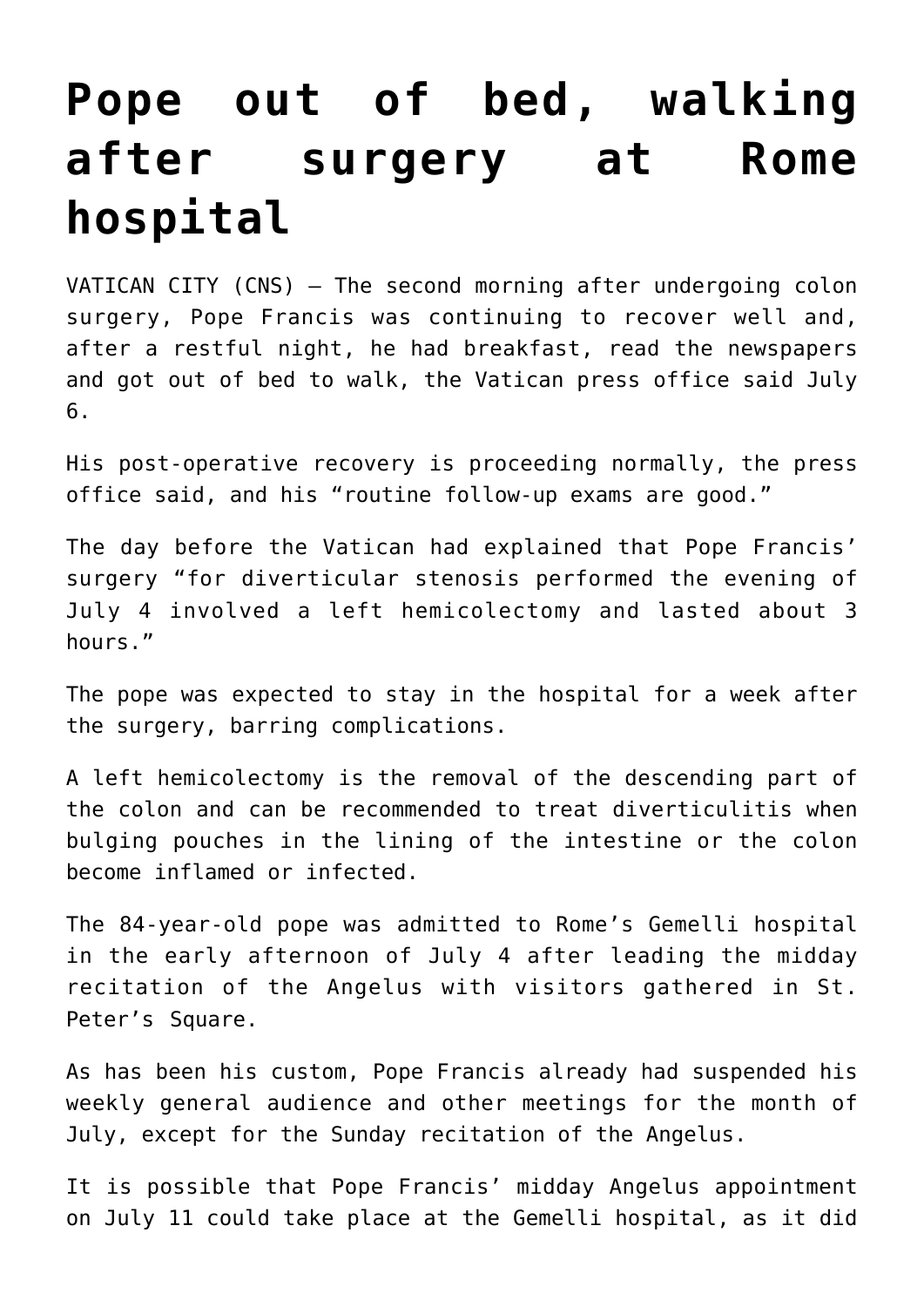## **[Pope out of bed, walking](https://www.osvnews.com/2021/07/06/pope-out-of-bed-walking-after-surgery-at-rome-hospital/) [after surgery at Rome](https://www.osvnews.com/2021/07/06/pope-out-of-bed-walking-after-surgery-at-rome-hospital/) [hospital](https://www.osvnews.com/2021/07/06/pope-out-of-bed-walking-after-surgery-at-rome-hospital/)**

VATICAN CITY (CNS) — The second morning after undergoing colon surgery, Pope Francis was continuing to recover well and, after a restful night, he had breakfast, read the newspapers and got out of bed to walk, the Vatican press office said July 6.

His post-operative recovery is proceeding normally, the press office said, and his "routine follow-up exams are good."

The day before the Vatican had explained that Pope Francis' surgery "for diverticular stenosis performed the evening of July 4 involved a left hemicolectomy and lasted about 3 hours."

The pope was expected to stay in the hospital for a week after the surgery, barring complications.

A left hemicolectomy is the removal of the descending part of the colon and can be recommended to treat diverticulitis when bulging pouches in the lining of the intestine or the colon become inflamed or infected.

The 84-year-old pope was admitted to Rome's Gemelli hospital in the early afternoon of July 4 after leading the midday recitation of the Angelus with visitors gathered in St. Peter's Square.

As has been his custom, Pope Francis already had suspended his weekly general audience and other meetings for the month of July, except for the Sunday recitation of the Angelus.

It is possible that Pope Francis' midday Angelus appointment on July 11 could take place at the Gemelli hospital, as it did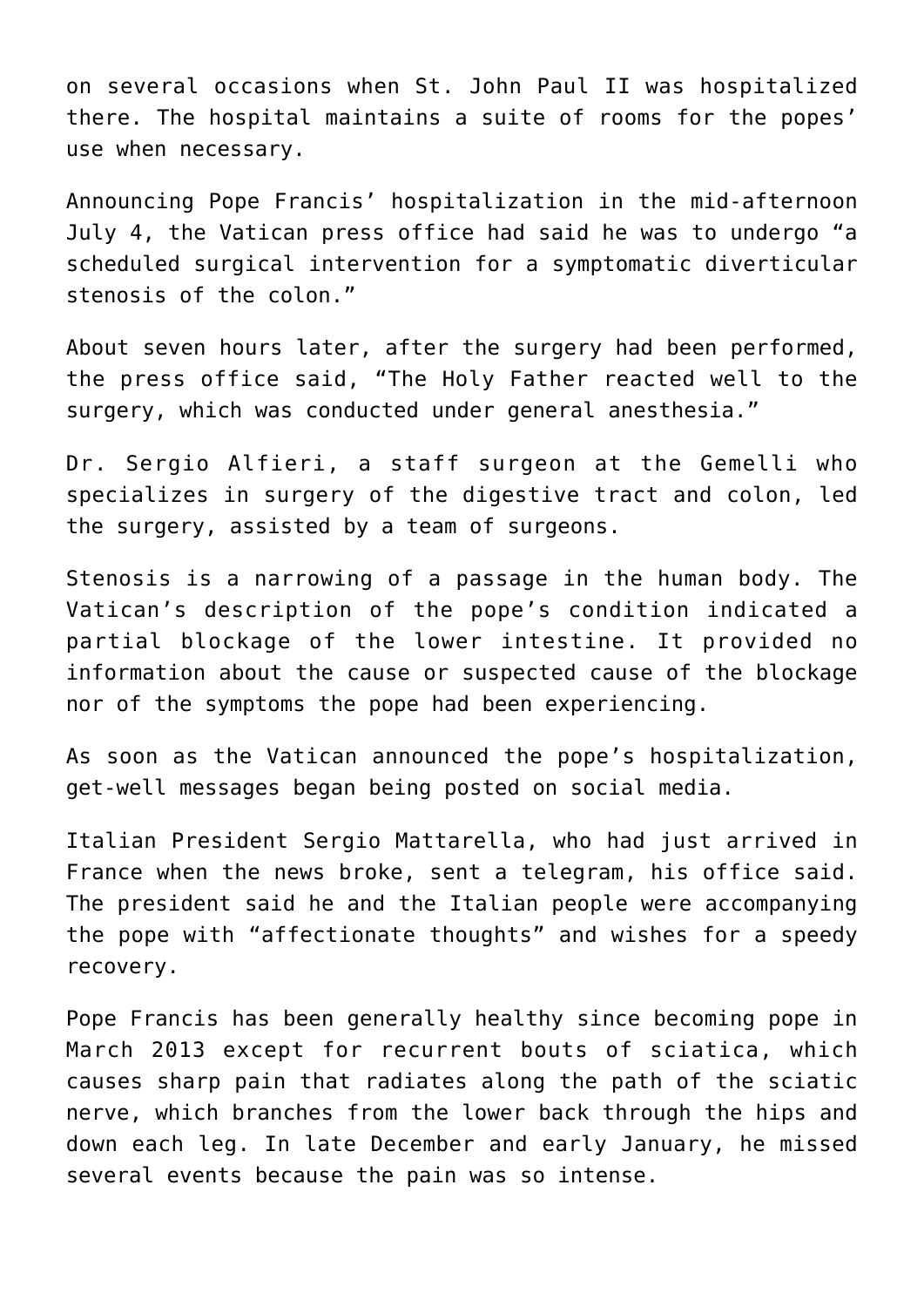on several occasions when St. John Paul II was hospitalized there. The hospital maintains a suite of rooms for the popes' use when necessary.

Announcing Pope Francis' hospitalization in the mid-afternoon July 4, the Vatican press office had said he was to undergo "a scheduled surgical intervention for a symptomatic diverticular stenosis of the colon."

About seven hours later, after the surgery had been performed, the press office said, "The Holy Father reacted well to the surgery, which was conducted under general anesthesia."

Dr. Sergio Alfieri, a staff surgeon at the Gemelli who specializes in surgery of the digestive tract and colon, led the surgery, assisted by a team of surgeons.

Stenosis is a narrowing of a passage in the human body. The Vatican's description of the pope's condition indicated a partial blockage of the lower intestine. It provided no information about the cause or suspected cause of the blockage nor of the symptoms the pope had been experiencing.

As soon as the Vatican announced the pope's hospitalization, get-well messages began being posted on social media.

Italian President Sergio Mattarella, who had just arrived in France when the news broke, sent a telegram, his office said. The president said he and the Italian people were accompanying the pope with "affectionate thoughts" and wishes for a speedy recovery.

Pope Francis has been generally healthy since becoming pope in March 2013 except for recurrent bouts of sciatica, which causes sharp pain that radiates along the path of the sciatic nerve, which branches from the lower back through the hips and down each leg. In late December and early January, he missed several events because the pain was so intense.